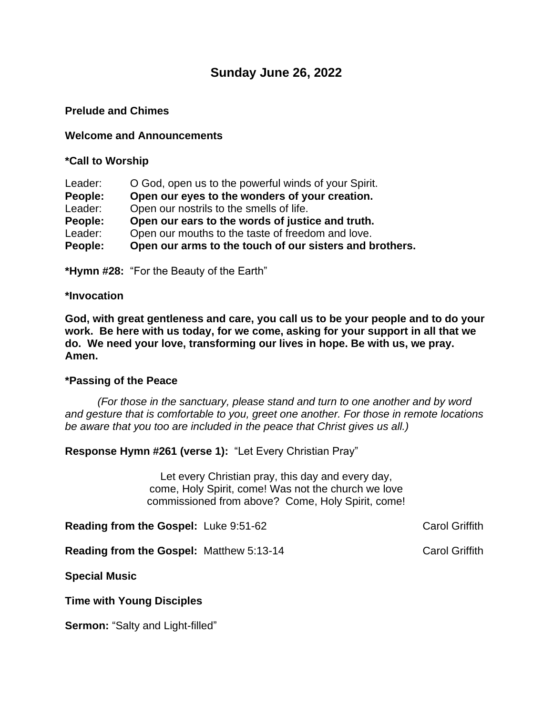# **Sunday June 26, 2022**

### **Prelude and Chimes**

### **Welcome and Announcements**

### **\*Call to Worship**

| Leader: | O God, open us to the powerful winds of your Spirit.    |
|---------|---------------------------------------------------------|
| People: | Open our eyes to the wonders of your creation.          |
| Leader: | Open our nostrils to the smells of life.                |
| People: | Open our ears to the words of justice and truth.        |
| Leader: | Open our mouths to the taste of freedom and love.       |
| People: | Open our arms to the touch of our sisters and brothers. |

**\*Hymn #28:** "For the Beauty of the Earth"

#### **\*Invocation**

**God, with great gentleness and care, you call us to be your people and to do your work. Be here with us today, for we come, asking for your support in all that we do. We need your love, transforming our lives in hope. Be with us, we pray. Amen.**

#### **\*Passing of the Peace**

*(For those in the sanctuary, please stand and turn to one another and by word and gesture that is comfortable to you, greet one another. For those in remote locations be aware that you too are included in the peace that Christ gives us all.)*

**Response Hymn #261 (verse 1):** "Let Every Christian Pray"

Let every Christian pray, this day and every day, come, Holy Spirit, come! Was not the church we love commissioned from above? Come, Holy Spirit, come!

**Reading from the Gospel:** Luke 9:51-62 Carol Griffith

**Reading from the Gospel:** Matthew 5:13-14 Carol Griffith

**Special Music**

**Time with Young Disciples**

**Sermon:** "Salty and Light-filled"